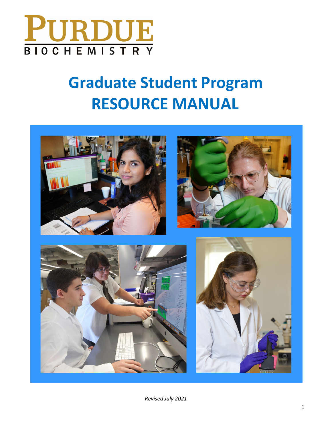

# **Graduate Student Program RESOURCE MANUAL**

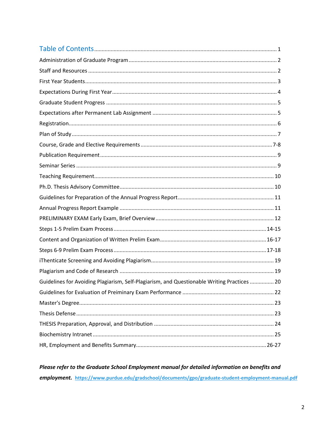| Guidelines for Avoiding Plagiarism, Self-Plagiarism, and Questionable Writing Practices  20 |  |
|---------------------------------------------------------------------------------------------|--|
|                                                                                             |  |
|                                                                                             |  |
|                                                                                             |  |
|                                                                                             |  |
|                                                                                             |  |
|                                                                                             |  |

Please refer to the Graduate School Employment manual for detailed information on benefits and employment. https://www.purdue.edu/gradschool/documents/gpo/graduate-student-employment-manual.pdf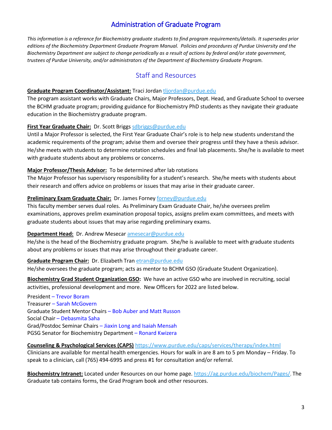# Administration of Graduate Program

*This information is a reference for Biochemistry graduate students to find program requirements/details. It supersedes prior editions of the Biochemistry Department Graduate Program Manual. Policies and procedures of Purdue University and the Biochemistry Department are subject to change periodically as a result of actions by federal and/or state government, trustees of Purdue University, and/or administrators of the Department of Biochemistry Graduate Program.*

# Staff and Resources

#### **Graduate Program Coordinator/Assistant:** Traci Jordan [tljordan@purdue.edu](mailto:tljordan@purdue.edu)

The program assistant works with Graduate Chairs, Major Professors, Dept. Head, and Graduate School to oversee the BCHM graduate program; providing guidance for Biochemistry PhD students as they navigate their graduate education in the Biochemistry graduate program.

#### **First Year Graduate Chair:** Dr. Scott Brigg[s sdbriggs@purdue.edu](mailto:sdbriggs@purdue.edu)

Until a Major Professor is selected, the First Year Graduate Chair's role is to help new students understand the academic requirements of the program; advise them and oversee their progress until they have a thesis advisor. He/she meets with students to determine rotation schedules and final lab placements. She/he is available to meet with graduate students about any problems or concerns.

#### **Major Professor/Thesis Advisor:** To be determined after lab rotations

The Major Professor has supervisory responsibility for a student's research. She/he meets with students about their research and offers advice on problems or issues that may arise in their graduate career.

## **Preliminary Exam Graduate Chair:** Dr. James Forney [forney@purdue.edu](mailto:forney@purdue.edu)

This faculty member serves dual roles. As Preliminary Exam Graduate Chair, he/she oversees prelim examinations, approves prelim examination proposal topics, assigns prelim exam committees, and meets with graduate students about issues that may arise regarding preliminary exams.

#### **Department Head:** Dr. Andrew Mesecar [amesecar@purdue.edu](mailto:amesecar@purdue.edu)

He/she is the head of the Biochemistry graduate program. She/he is available to meet with graduate students about any problems or issues that may arise throughout their graduate career.

#### **Graduate Program Chair:** Dr. Elizabeth Tran [etran@purdue.edu](mailto:etran@purdue.edu)

He/she oversees the graduate program; acts as mentor to BCHM GSO (Graduate Student Organization).

**Biochemistry Grad Student Organization GSO:** We have an active GSO who are involved in recruiting, social activities, professional development and more. New Officers for 2022 are listed below.

President – Trevor Boram Treasurer – Sarah McGovern Graduate Student Mentor Chairs – Bob Auber and Matt Russon Social Chair – Debasmita Saha Grad/Postdoc Seminar Chairs – Jiaxin Long and Isaiah Mensah PGSG Senator for Biochemistry Department – Ronard Kwizera

#### **Counseling & Psychological Services (CAPS)** <https://www.purdue.edu/caps/services/therapy/index.html>

Clinicians are available for mental health emergencies. Hours for walk in are 8 am to 5 pm Monday – Friday. To speak to a clinician, call (765) 494-6995 and press #1 for consultation and/or referral.

**Biochemistry Intranet:** Located under Resources on our home page[. https://ag.purdue.edu/biochem/Pages/.](https://ag.purdue.edu/biochem/Pages/) The Graduate tab contains forms, the Grad Program book and other resources.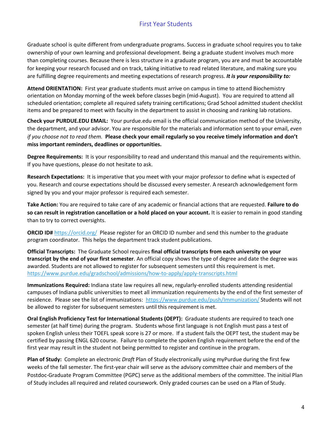## First Year Students

Graduate school is quite different from undergraduate programs. Success in graduate school requires you to take ownership of your own learning and professional development. Being a graduate student involves much more than completing courses. Because there is less structure in a graduate program, you are and must be accountable for keeping your research focused and on track, taking initiative to read related literature, and making sure you are fulfilling degree requirements and meeting expectations of research progress. *It is your responsibility to:*

**Attend ORIENTATION:** First year graduate students must arrive on campus in time to attend Biochemistry orientation on Monday morning of the week before classes begin (mid-August). You are required to attend all scheduled orientation; complete all required safety training certifications; Grad School admitted student checklist items and be prepared to meet with faculty in the department to assist in choosing and ranking lab rotations.

**Check your PURDUE.EDU EMAIL:** Your purdue.edu email is the official communication method of the University, the department, and your advisor. You are responsible for the materials and information sent to your email, *even if you choose not to read them.* **Please check your email regularly so you receive timely information and don't miss important reminders, deadlines or opportunities.** 

**Degree Requirements:** It is your responsibility to read and understand this manual and the requirements within. If you have questions, please do not hesitate to ask.

**Research Expectations:** It is imperative that you meet with your major professor to define what is expected of you. Research and course expectations should be discussed every semester. A research acknowledgement form signed by you and your major professor is required each semester.

**Take Action:** You are required to take care of any academic or financial actions that are requested. **Failure to do so can result in registration cancellation or a hold placed on your account.** It is easier to remain in good standing than to try to correct oversights.

**ORCID ID#** <https://orcid.org/>Please register for an ORCID ID number and send this number to the graduate program coordinator. This helps the department track student publications.

**Official Transcripts:** The Graduate School requires **final official transcripts from each university on your transcript by the end of your first semester**. An official copy shows the type of degree and date the degree was awarded. Students are not allowed to register for subsequent semesters until this requirement is met. <https://www.purdue.edu/gradschool/admissions/how-to-apply/apply-transcripts.html>

**Immunizations Required:** Indiana state law requires all new, regularly-enrolled students attending residential campuses of Indiana public universities to meet all immunization requirements by the end of the first semester of residence. Please see the list of immunizations: <https://www.purdue.edu/push/Immunization/> Students will not be allowed to register for subsequent semesters until this requirement is met.

**Oral English Proficiency Test for International Students (OEPT):** Graduate students are required to teach one semester (at half time) during the program. Students whose first language is not English must pass a test of spoken English unless their TOEFL speak score is 27 or more. If a student fails the OEPT test, the student may be certified by passing ENGL 620 course. Failure to complete the spoken English requirement before the end of the first year may result in the student not being permitted to register and continue in the program.

**Plan of Study:** Complete an electronic *Draft* Plan of Study electronically using myPurdue during the first few weeks of the fall semester. The first-year chair will serve as the advisory committee chair and members of the Postdoc-Graduate Program Committee (PGPC) serve as the additional members of the committee. The initial Plan of Study includes all required and related coursework. Only graded courses can be used on a Plan of Study.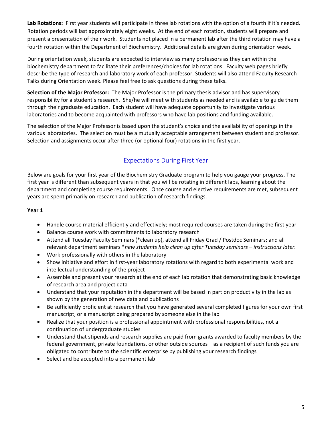**Lab Rotations:** First year students will participate in three lab rotations with the option of a fourth if it's needed. Rotation periods will last approximately eight weeks. At the end of each rotation, students will prepare and present a presentation of their work. Students not placed in a permanent lab after the third rotation may have a fourth rotation within the Department of Biochemistry. Additional details are given during orientation week.

During orientation week, students are expected to interview as many professors as they can within the biochemistry department to facilitate their preferences/choices for lab rotations. Faculty web pages briefly describe the type of research and laboratory work of each professor. Students will also attend Faculty Research Talks during Orientation week. Please feel free to ask questions during these talks.

**Selection of the Major Professor:** The Major Professor is the primary thesis advisor and has supervisory responsibility for a student's research. She/he will meet with students as needed and is available to guide them through their graduate education. Each student will have adequate opportunity to investigate various laboratories and to become acquainted with professors who have lab positions and funding available.

The selection of the Major Professor is based upon the student's choice and the availability of openings in the various laboratories. The selection must be a mutually acceptable arrangement between student and professor. Selection and assignments occur after three (or optional four) rotations in the first year.

# Expectations During First Year

Below are goals for your first year of the Biochemistry Graduate program to help you gauge your progress. The first year is different than subsequent years in that you will be rotating in different labs, learning about the department and completing course requirements. Once course and elective requirements are met, subsequent years are spent primarily on research and publication of research findings.

## **Year 1**

- Handle course material efficiently and effectively; most required courses are taken during the first year
- Balance course work with commitments to laboratory research
- Attend all Tuesday Faculty Seminars (\*clean up), attend all Friday Grad / Postdoc Seminars; and all relevant department seminars \**new students help clean up after Tuesday seminars – instructions later.*
- Work professionally with others in the laboratory
- Show initiative and effort in first-year laboratory rotations with regard to both experimental work and intellectual understanding of the project
- Assemble and present your research at the end of each lab rotation that demonstrating basic knowledge of research area and project data
- Understand that your reputation in the department will be based in part on productivity in the lab as shown by the generation of new data and publications
- Be sufficiently proficient at research that you have generated several completed figures for your own first manuscript, or a manuscript being prepared by someone else in the lab
- Realize that your position is a professional appointment with professional responsibilities, not a continuation of undergraduate studies
- Understand that stipends and research supplies are paid from grants awarded to faculty members by the federal government, private foundations, or other outside sources – as a recipient of such funds you are obligated to contribute to the scientific enterprise by publishing your research findings
- Select and be accepted into a permanent lab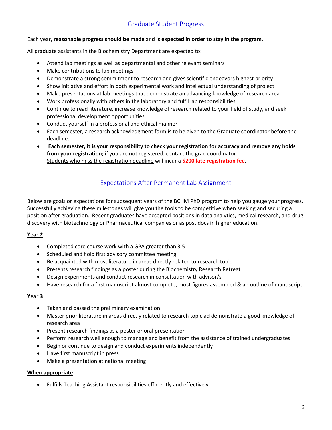# Graduate Student Progress

#### Each year, **reasonable progress should be made** and **is expected in order to stay in the program**.

All graduate assistants in the Biochemistry Department are expected to:

- Attend lab meetings as well as departmental and other relevant seminars
- Make contributions to lab meetings
- Demonstrate a strong commitment to research and gives scientific endeavors highest priority
- Show initiative and effort in both experimental work and intellectual understanding of project
- Make presentations at lab meetings that demonstrate an advancing knowledge of research area
- Work professionally with others in the laboratory and fulfil lab responsibilities
- Continue to read literature, increase knowledge of research related to your field of study, and seek professional development opportunities
- Conduct yourself in a professional and ethical manner
- Each semester, a research acknowledgment form is to be given to the Graduate coordinator before the deadline.
- **Each semester, it is your responsibility to check your registration for accuracy and remove any holds from your registration;** if you are not registered, contact the grad coordinator Students who miss the registration deadline will incur a **\$200 late registration fee.**

# Expectations After Permanent Lab Assignment

Below are goals or expectations for subsequent years of the BCHM PhD program to help you gauge your progress. Successfully achieving these milestones will give you the tools to be competitive when seeking and securing a position after graduation. Recent graduates have accepted positions in data analytics, medical research, and drug discovery with biotechnology or Pharmaceutical companies or as post docs in higher education.

#### **Year 2**

- Completed core course work with a GPA greater than 3.5
- Scheduled and hold first advisory committee meeting
- Be acquainted with most literature in areas directly related to research topic.
- Presents research findings as a poster during the Biochemistry Research Retreat
- Design experiments and conduct research in consultation with advisor/s
- Have research for a first manuscript almost complete; most figures assembled & an outline of manuscript.

#### **Year 3**

- Taken and passed the preliminary examination
- Master prior literature in areas directly related to research topic ad demonstrate a good knowledge of research area
- Present research findings as a poster or oral presentation
- Perform research well enough to manage and benefit from the assistance of trained undergraduates
- Begin or continue to design and conduct experiments independently
- Have first manuscript in press
- Make a presentation at national meeting

#### **When appropriate**

• Fulfills Teaching Assistant responsibilities efficiently and effectively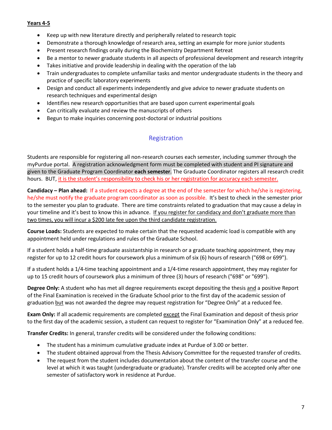#### **Years 4-5**

- Keep up with new literature directly and peripherally related to research topic
- Demonstrate a thorough knowledge of research area, setting an example for more junior students
- Present research findings orally during the Biochemistry Department Retreat
- Be a mentor to newer graduate students in all aspects of professional development and research integrity
- Takes initiative and provide leadership in dealing with the operation of the lab
- Train undergraduates to complete unfamiliar tasks and mentor undergraduate students in the theory and practice of specific laboratory experiments
- Design and conduct all experiments independently and give advice to newer graduate students on research techniques and experimental design
- Identifies new research opportunities that are based upon current experimental goals
- Can critically evaluate and review the manuscripts of others
- Begun to make inquiries concerning post-doctoral or industrial positions

## Registration

Students are responsible for registering all non-research courses each semester, including summer through the myPurdue portal. A registration acknowledgment form must be completed with student and PI signature and given to the Graduate Program Coordinator **each semester**. The Graduate Coordinator registers all research credit hours. BUT, it is the student's responsibility to check his or her registration for accuracy each semester.

**Candidacy – Plan ahead:** If a student expects a degree at the end of the semester for which he/she is registering, he/she must notify the graduate program coordinator as soon as possible. It's best to check in the semester prior to the semester you plan to graduate. There are time constraints related to graduation that may cause a delay in your timeline and it's best to know this in advance. If you register for candidacy and don't graduate more than two times, you will incur a \$200 late fee upon the third candidate registration.

**Course Loads:** Students are expected to make certain that the requested academic load is compatible with any appointment held under regulations and rules of the Graduate School.

If a student holds a half-time graduate assistantship in research or a graduate teaching appointment, they may register for up to 12 credit hours for coursework plus a minimum of six (6) hours of research ("698 or 699").

If a student holds a 1/4-time teaching appointment and a 1/4-time research appointment, they may register for up to 15 credit hours of coursework plus a minimum of three (3) hours of research ("698" or "699").

**Degree Only:** A student who has met all degree requirements except depositing the thesis and a positive Report of the Final Examination is received in the Graduate School prior to the first day of the academic session of graduation but was not awarded the degree may request registration for "Degree Only" at a reduced fee.

**Exam Only:** If all academic requirements are completed except the Final Examination and deposit of thesis prior to the first day of the academic session, a student can request to register for "Examination Only" at a reduced fee.

**Transfer Credits:** In general, transfer credits will be considered under the following conditions:

- The student has a minimum cumulative graduate index at Purdue of 3.00 or better.
- The student obtained approval from the Thesis Advisory Committee for the requested transfer of credits.
- The request from the student includes documentation about the content of the transfer course and the level at which it was taught (undergraduate or graduate). Transfer credits will be accepted only after one semester of satisfactory work in residence at Purdue.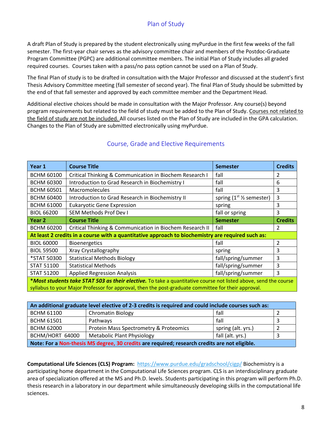# Plan of Study

A draft Plan of Study is prepared by the student electronically using myPurdue in the first few weeks of the fall semester. The first-year chair serves as the advisory committee chair and members of the Postdoc-Graduate Program Committee (PGPC) are additional committee members. The initial Plan of Study includes all graded required courses. Courses taken with a pass/no pass option cannot be used on a Plan of Study.

The final Plan of study is to be drafted in consultation with the Major Professor and discussed at the student's first Thesis Advisory Committee meeting (fall semester of second year). The final Plan of Study should be submitted by the end of that fall semester and approved by each committee member and the Department Head.

Additional elective choices should be made in consultation with the Major Professor. Any course(s) beyond program requirements but related to the field of study must be added to the Plan of Study. Courses not related to the field of study are not be included. All courses listed on the Plan of Study are included in the GPA calculation. Changes to the Plan of Study are submitted electronically using myPurdue.

| Year 1                                                                                                          | <b>Course Title</b>                                                                           | <b>Semester</b>    | <b>Credits</b> |  |
|-----------------------------------------------------------------------------------------------------------------|-----------------------------------------------------------------------------------------------|--------------------|----------------|--|
| <b>BCHM 60100</b>                                                                                               | Critical Thinking & Communication in Biochem Research I                                       | fall<br>2          |                |  |
| <b>BCHM 60300</b>                                                                                               | fall<br>Introduction to Grad Research in Biochemistry I<br>6                                  |                    |                |  |
| <b>BCHM 60501</b>                                                                                               | fall<br>Macromolecules                                                                        |                    | 3              |  |
| <b>BCHM 60400</b>                                                                                               | 3<br>Introduction to Grad Research in Biochemistry II<br>spring $(1st \frac{1}{2})$ semester) |                    |                |  |
| <b>BCHM 61000</b>                                                                                               | <b>Eukaryotic Gene Expression</b><br>spring                                                   |                    | 3              |  |
| <b>BIOL 66200</b>                                                                                               | <b>SEM Methods Prof Dev I</b><br>fall or spring                                               |                    | 3              |  |
| Year 2                                                                                                          | <b>Course Title</b>                                                                           | <b>Semester</b>    | <b>Credits</b> |  |
| <b>BCHM 60200</b>                                                                                               | Critical Thinking & Communication in Biochem Research II                                      | fall               | 2              |  |
| At least 2 credits in a course with a quantitative approach to biochemistry are required such as:               |                                                                                               |                    |                |  |
| <b>BIOL 60000</b>                                                                                               | <b>Bioenergetics</b>                                                                          | fall               | $\overline{2}$ |  |
| <b>BIOL 59500</b>                                                                                               | Xray Crystallography                                                                          | spring             | 3              |  |
| *STAT 50300                                                                                                     | <b>Statistical Methods Biology</b>                                                            | fall/spring/summer | 3              |  |
| <b>STAT 51100</b>                                                                                               | <b>Statistical Methods</b>                                                                    | fall/spring/summer | 3              |  |
| <b>STAT 51200</b>                                                                                               | <b>Applied Regression Analysis</b>                                                            | fall/spring/summer | 3              |  |
| *Most students take STAT 503 as their elective. To take a quantitative course not listed above, send the course |                                                                                               |                    |                |  |
| syllabus to your Major Professor for approval, then the post-graduate committee for their approval.             |                                                                                               |                    |                |  |

## Course, Grade and Elective Requirements

| An additional graduate level elective of 2-3 credits is required and could include courses such as: |                                        |                    |  |  |
|-----------------------------------------------------------------------------------------------------|----------------------------------------|--------------------|--|--|
| <b>BCHM 61100</b>                                                                                   | <b>Chromatin Biology</b>               | fall               |  |  |
| <b>BCHM 61501</b>                                                                                   | Pathways                               | fall               |  |  |
| <b>BCHM 62000</b>                                                                                   | Protein Mass Spectrometry & Proteomics | spring (alt. yrs.) |  |  |
| BCHM/HORT 64000                                                                                     | <b>Metabolic Plant Physiology</b>      | fall (alt. yrs.)   |  |  |
| Note: For a Non-thesis MS degree, 30 credits are required; research credits are not eligible.       |                                        |                    |  |  |

**Computational Life Sciences (CLS) Program:** <https://www.purdue.edu/gradschool/cigp/> Biochemistry is a participating home department in the Computational Life Sciences program. CLS is an interdisciplinary graduate area of specialization offered at the MS and Ph.D. levels. Students participating in this program will perform Ph.D. thesis research in a laboratory in our department while simultaneously developing skills in the computational life sciences.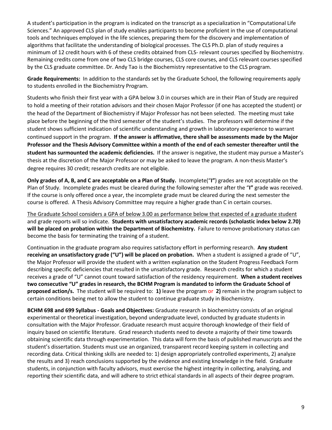A student's participation in the program is indicated on the transcript as a specialization in "Computational Life Sciences." An approved CLS plan of study enables participants to become proficient in the use of computational tools and techniques employed in the life sciences, preparing them for the discovery and implementation of algorithms that facilitate the understanding of biological processes. The CLS Ph.D. plan of study requires a minimum of 12 credit hours with 6 of these credits obtained from CLS- relevant courses specified by Biochemistry. Remaining credits come from one of two CLS bridge courses, CLS core courses, and CLS relevant courses specified by the CLS graduate committee. Dr. Andy Tao is the Biochemistry representative to the CLS program.

**Grade Requirements:** In addition to the standards set by the Graduate School, the following requirements apply to students enrolled in the Biochemistry Program.

Students who finish their first year with a GPA below 3.0 in courses which are in their Plan of Study are required to hold a meeting of their rotation advisors and their chosen Major Professor (if one has accepted the student) or the head of the Department of Biochemistry if Major Professor has not been selected. The meeting must take place before the beginning of the third semester of the student's studies. The professors will determine if the student shows sufficient indication of scientific understanding and growth in laboratory experience to warrant continued support in the program. **If the answer is affirmative, there shall be assessments made by the Major Professor and the Thesis Advisory Committee within a month of the end of each semester thereafter until the student has surmounted the academic deficiencies.** If the answer is negative, the student may pursue a Master's thesis at the discretion of the Major Professor or may be asked to leave the program. A non-thesis Master's degree requires 30 credit; research credits are not eligible.

**Only grades of A, B, and C are acceptable on a Plan of Study.** Incomplete("**I"**) grades are not acceptable on the Plan of Study. Incomplete grades must be cleared during the following semester after the "**I"** grade was received. If the course is only offered once a year, the incomplete grade must be cleared during the next semester the course is offered. A Thesis Advisory Committee may require a higher grade than C in certain courses.

The Graduate School considers a GPA of below 3.00 as performance below that expected of a graduate student and grade reports will so indicate. **Students with unsatisfactory academic records (scholastic index below 2.70) will be placed on probation within the Department of Biochemistry.** Failure to remove probationary status can become the basis for terminating the training of a student.

Continuation in the graduate program also requires satisfactory effort in performing research. **Any student receiving an unsatisfactory grade ("U") will be placed on probation.** When a student is assigned a grade of "U", the Major Professor will provide the student with a written explanation on the Student Progress Feedback Form describing specific deficiencies that resulted in the unsatisfactory grade. Research credits for which a student receives a grade of "U" cannot count toward satisfaction of the residency requirement. **When a student receives two consecutive "U" grades in research, the BCHM Program is mandated to inform the Graduate School of proposed action/s.** The student will be required to: **1)** leave the program or **2)** remain in the program subject to certain conditions being met to allow the student to continue graduate study in Biochemistry.

**BCHM 698 and 699 Syllabus - Goals and Objectives:** Graduate research in biochemistry consists of an original experimental or theoretical investigation, beyond undergraduate level, conducted by graduate students in consultation with the Major Professor. Graduate research must acquire thorough knowledge of their field of inquiry based on scientific literature. Grad research students need to devote a majority of their time towards obtaining scientific data through experimentation. This data will form the basis of published manuscripts and the student's dissertation. Students must use an organized, transparent record keeping system in collecting and recording data. Critical thinking skills are needed to: 1) design appropriately controlled experiments, 2) analyze the results and 3) reach conclusions supported by the evidence and existing knowledge in the field. Graduate students, in conjunction with faculty advisors, must exercise the highest integrity in collecting, analyzing, and reporting their scientific data, and will adhere to strict ethical standards in all aspects of their degree program.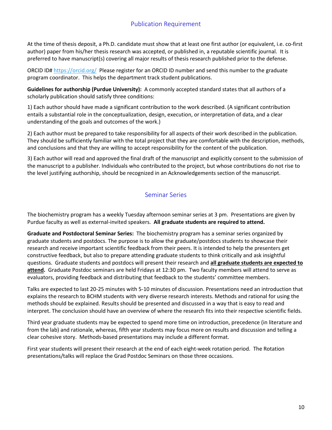## Publication Requirement

At the time of thesis deposit, a Ph.D. candidate must show that at least one first author (or equivalent, i.e. co-first author) paper from his/her thesis research was accepted, or published in, a reputable scientific journal. It is preferred to have manuscript(s) covering all major results of thesis research published prior to the defense.

ORCID ID# <https://orcid.org/>Please register for an ORCID ID number and send this number to the graduate program coordinator. This helps the department track student publications.

**Guidelines for authorship (Purdue University):** A commonly accepted standard states that all authors of a scholarly publication should satisfy three conditions:

1) Each author should have made a significant contribution to the work described. (A significant contribution entails a substantial role in the conceptualization, design, execution, or interpretation of data, and a clear understanding of the goals and outcomes of the work.)

2) Each author must be prepared to take responsibility for all aspects of their work described in the publication. They should be sufficiently familiar with the total project that they are comfortable with the description, methods, and conclusions and that they are willing to accept responsibility for the content of the publication.

3) Each author will read and approved the final draft of the manuscript and explicitly consent to the submission of the manuscript to a publisher. Individuals who contributed to the project, but whose contributions do not rise to the level justifying authorship, should be recognized in an Acknowledgements section of the manuscript.

## Seminar Series

The biochemistry program has a weekly Tuesday afternoon seminar series at 3 pm. Presentations are given by Purdue faculty as well as external-invited speakers. **All graduate students are required to attend.**

**Graduate and Postdoctoral Seminar Series:** The biochemistry program has a seminar series organized by graduate students and postdocs. The purpose is to allow the graduate/postdocs students to showcase their research and receive important scientific feedback from their peers. It is intended to help the presenters get constructive feedback, but also to prepare attending graduate students to think critically and ask insightful questions. Graduate students and postdocs will present their research and **all graduate students are expected to attend.** Graduate Postdoc seminars are held Fridays at 12:30 pm. Two faculty members will attend to serve as evaluators, providing feedback and distributing that feedback to the students' committee members.

Talks are expected to last 20-25 minutes with 5-10 minutes of discussion. Presentations need an introduction that explains the research to BCHM students with very diverse research interests. Methods and rational for using the methods should be explained. Results should be presented and discussed in a way that is easy to read and interpret. The conclusion should have an overview of where the research fits into their respective scientific fields.

Third year graduate students may be expected to spend more time on introduction, precedence (in literature and from the lab) and rationale, whereas, fifth year students may focus more on results and discussion and telling a clear cohesive story. Methods-based presentations may include a different format.

First year students will present their research at the end of each eight-week rotation period. The Rotation presentations/talks will replace the Grad Postdoc Seminars on those three occasions.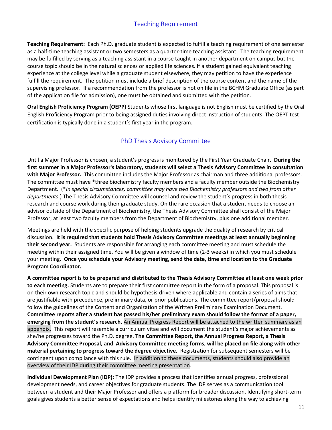## Teaching Requirement

**Teaching Requirement:** Each Ph.D. graduate student is expected to fulfill a teaching requirement of one semester as a half-time teaching assistant or two semesters as a quarter-time teaching assistant. The teaching requirement may be fulfilled by serving as a teaching assistant in a course taught in another department on campus but the course topic should be in the natural sciences or applied life sciences. If a student gained equivalent teaching experience at the college level while a graduate student elsewhere, they may petition to have the experience fulfill the requirement. The petition must include a brief description of the course content and the name of the supervising professor. If a recommendation from the professor is not on file in the BCHM Graduate Office (as part of the application file for admission), one must be obtained and submitted with the petition.

**Oral English Proficiency Program (OEPP)** Students whose first language is not English must be certified by the Oral English Proficiency Program prior to being assigned duties involving direct instruction of students. The OEPT test certification is typically done in a student's first year in the program.

# PhD Thesis Advisory Committee

Until a Major Professor is chosen, a student's progress is monitored by the First Year Graduate Chair. **During the first summer in a Major Professor's laboratory, students will select a Thesis Advisory Committee in consultation with Major Professor.** This committee includes the Major Professor as chairman and three additional professors. The committee must have \*three biochemistry faculty members and a faculty member outside the Biochemistry Department. (\**In special circumstances, committee may have two Biochemistry professors and two from other departments*.) The Thesis Advisory Committee will counsel and review the student's progress in both thesis research and course work during their graduate study. On the rare occasion that a student needs to choose an advisor outside of the Department of Biochemistry, the Thesis Advisory Committee shall consist of the Major Professor, at least two faculty members from the Department of Biochemistry, plus one additional member.

Meetings are held with the specific purpose of helping students upgrade the quality of research by critical discussion. **It is required that students hold Thesis Advisory Committee meetings at least annually beginning their second year.** Students are responsible for arranging each committee meeting and must schedule the meeting within their assigned time. You will be given a window of time (2-3 weeks) in which you must schedule your meeting. **Once you schedule your Advisory meeting, send the date, time and location to the Graduate Program Coordinator.**

**A committee report is to be prepared and distributed to the Thesis Advisory Committee at least one week prior to each meeting.** Students are to prepare their first committee report in the form of a proposal. This proposal is on their own research topic and should be hypothesis-driven where applicable and contain a series of aims that are justifiable with precedence, preliminary data, or prior publications. The committee report/proposal should follow the guidelines of the Content and Organization of the Written Preliminary Examination Document. **Committee reports after a student has passed his/her preliminary exam should follow the format of a paper, emerging from the student's research.** An Annual Progress Report will be attached to the written summary as an appendix. This report will resemble a curriculum vitae and will document the student's major achievements as she/he progresses toward the Ph.D. degree. **The Committee Report, the Annual Progress Report, a Thesis Advisory Committee Proposal, and Advisory Committee meeting forms, will be placed on file along with other material pertaining to progress toward the degree objective.** Registration for subsequent semesters will be contingent upon compliance with this rule. In addition to these documents, students should also provide an overview of their IDP during their committee meeting presentation.

**Individual Development Plan (IDP):** The IDP provides a process that identifies annual progress, professional development needs, and career objectives for graduate students. The IDP serves as a communication tool between a student and their Major Professor and offers a platform for broader discussion. Identifying short-term goals gives students a better sense of expectations and helps identify milestones along the way to achieving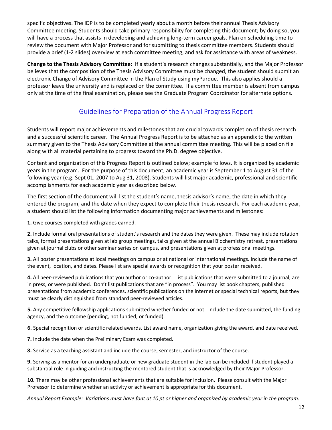specific objectives. The IDP is to be completed yearly about a month before their annual Thesis Advisory Committee meeting. Students should take primary responsibility for completing this document; by doing so, you will have a process that assists in developing and achieving long-term career goals. Plan on scheduling time to review the document with Major Professor and for submitting to thesis committee members. Students should provide a brief (1-2 slides) overview at each committee meeting, and ask for assistance with areas of weakness.

**Change to the Thesis Advisory Committee:** If a student's research changes substantially, and the Major Professor believes that the composition of the Thesis Advisory Committee must be changed, the student should submit an electronic Change of Advisory Committee in the Plan of Study using myPurdue. This also applies should a professor leave the university and is replaced on the committee. If a committee member is absent from campus only at the time of the final examination, please see the Graduate Program Coordinator for alternate options.

# Guidelines for Preparation of the Annual Progress Report

Students will report major achievements and milestones that are crucial towards completion of thesis research and a successful scientific career. The Annual Progress Report is to be attached as an appendix to the written summary given to the Thesis Advisory Committee at the annual committee meeting. This will be placed on file along with all material pertaining to progress toward the Ph.D. degree objective.

Content and organization of this Progress Report is outlined below; example follows. It is organized by academic years in the program. For the purpose of this document, an academic year is September 1 to August 31 of the following year (e.g. Sept 01, 2007 to Aug 31, 2008). Students will list major academic, professional and scientific accomplishments for each academic year as described below.

The first section of the document will list the student's name, thesis advisor's name, the date in which they entered the program, and the date when they expect to complete their thesis research. For each academic year, a student should list the following information documenting major achievements and milestones:

**1.** Give courses completed with grades earned.

**2.** Include formal oral presentations of student's research and the dates they were given. These may include rotation talks, formal presentations given at lab group meetings, talks given at the annual Biochemistry retreat, presentations given at journal clubs or other seminar series on campus, and presentations given at professional meetings.

**3.** All poster presentations at local meetings on campus or at national or international meetings. Include the name of the event, location, and dates. Please list any special awards or recognition that your poster received.

**4.** All peer-reviewed publications that you author or co-author. List publications that were submitted to a journal, are in press, or were published. Don't list publications that are "in process". You may list book chapters, published presentations from academic conferences, scientific publications on the internet or special technical reports, but they must be clearly distinguished from standard peer-reviewed articles.

**5.** Any competitive fellowship applications submitted whether funded or not. Include the date submitted, the funding agency, and the outcome (pending, not funded, or funded).

**6.** Special recognition or scientific related awards. List award name, organization giving the award, and date received.

**7.** Include the date when the Preliminary Exam was completed.

**8.** Service as a teaching assistant and include the course, semester, and instructor of the course.

**9.** Serving as a mentor for an undergraduate or new graduate student in the lab can be included if student played a substantial role in guiding and instructing the mentored student that is acknowledged by their Major Professor.

**10.** There may be other professional achievements that are suitable for inclusion. Please consult with the Major Professor to determine whether an activity or achievement is appropriate for this document.

*Annual Report Example: Variations must have font at 10 pt or higher and organized by academic year in the program.*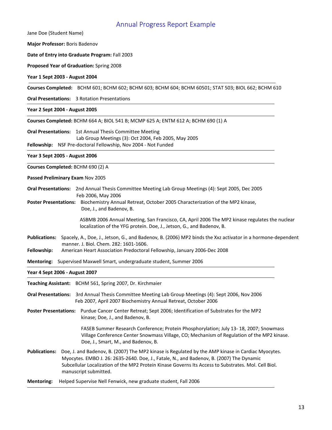## Annual Progress Report Example

Jane Doe (Student Name)

**Major Professor:** Boris Badenov

**Date of Entry into Graduate Program:** Fall 2003

**Proposed Year of Graduation:** Spring 2008

**Year 1 Sept 2003 - August 2004** 

**Courses Completed:** BCHM 601; BCHM 602; BCHM 603; BCHM 604; BCHM 60501; STAT 503; BIOL 662; BCHM 610

**Oral Presentations:** 3 Rotation Presentations

**Year 2 Sept 2004 - August 2005** 

**Courses Completed:** BCHM 664 A; BIOL 541 B; MCMP 625 A; ENTM 612 A; BCHM 690 (1) A

**Oral Presentations:** 1st Annual Thesis Committee Meeting Lab Group Meetings (3): Oct 2004, Feb 2005, May 2005 **Fellowship:** NSF Pre-doctoral Fellowship, Nov 2004 - Not Funded

**Year 3 Sept 2005 - August 2006** 

**Courses Completed:** BCHM 690 (2) A

**Passed Preliminary Exam** Nov 2005

**Oral Presentations:** 2nd Annual Thesis Committee Meeting Lab Group Meetings (4): Sept 2005, Dec 2005 Feb 2006, May 2006

**Poster Presentations:** Biochemistry Annual Retreat, October 2005 Characterization of the MP2 kinase, Doe, J., and Badenov, B.

> ASBMB 2006 Annual Meeting, San Francisco, CA, April 2006 The MP2 kinase regulates the nuclear localization of the YFG protein. Doe, J., Jetson, G., and Badenov, B.

- **Publications:** Spacely, A., Doe, J., Jetson, G., and Badenov, B. (2006) MP2 binds the Xxz activator in a hormone-dependent manner. J. Biol. Chem. 282: 1601-1606.
- **Fellowship:** American Heart Association Predoctoral Fellowship, January 2006-Dec 2008

**Mentoring:** Supervised Maxwell Smart, undergraduate student, Summer 2006

**Year 4 Sept 2006 - August 2007**

**Teaching Assistant:** BCHM 561, Spring 2007, Dr. Kirchmaier

**Oral Presentations:** 3rd Annual Thesis Committee Meeting Lab Group Meetings (4): Sept 2006, Nov 2006 Feb 2007, April 2007 Biochemistry Annual Retreat, October 2006

**Poster Presentations:** Purdue Cancer Center Retreat; Sept 2006; Identification of Substrates for the MP2 kinase; Doe, J., and Badenov, B.

> FASEB Summer Research Conference; Protein Phosphorylation; July 13- 18, 2007; Snowmass Village Conference Center Snowmass Village, CO; Mechanism of Regulation of the MP2 kinase. Doe, J., Smart, M., and Badenov, B.

**Publications:** Doe, J. and Badenov, B. (2007) The MP2 kinase is Regulated by the AMP kinase in Cardiac Myocytes. Myocytes. EMBO J. 26: 2635-2640. Doe, J., Fatale, N., and Badenov, B. (2007) The Dynamic Subcellular Localization of the MP2 Protein Kinase Governs Its Access to Substrates. Mol. Cell Biol. manuscript submitted.

**Mentoring:** Helped Supervise Nell Fenwick, new graduate student, Fall 2006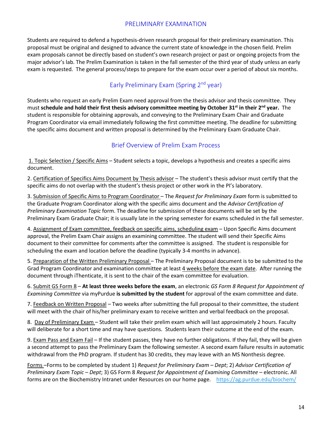## PRELIMINARY EXAMINATION

Students are required to defend a hypothesis-driven research proposal for their preliminary examination. This proposal must be original and designed to advance the current state of knowledge in the chosen field. Prelim exam proposals cannot be directly based on student's own research project or past or ongoing projects from the major advisor's lab. The Prelim Examination is taken in the fall semester of the third year of study unless an early exam is requested. The general process/steps to prepare for the exam occur over a period of about six months.

# Early Preliminary Exam (Spring 2<sup>nd</sup> year)

Students who request an early Prelim Exam need approval from the thesis advisor and thesis committee. They must **schedule and hold their first thesis advisory committee meeting by October 31st in their 2nd year.** The student is responsible for obtaining approvals, and conveying to the Preliminary Exam Chair and Graduate Program Coordinator via email immediately following the first committee meeting. The deadline for submitting the specific aims document and written proposal is determined by the Preliminary Exam Graduate Chair.

## Brief Overview of Prelim Exam Process

1. Topic Selection / Specific Aims – Student selects a topic, develops a hypothesis and creates a specific aims document.

2. Certification of Specifics Aims Document by Thesis advisor – The student's thesis advisor must certify that the specific aims do not overlap with the student's thesis project or other work in the PI's laboratory.

3. Submission of Specific Aims to Program Coordinator – The *Request for Preliminary Exam* form is submitted to the Graduate Program Coordinator along with the specific aims document and the *Advisor Certification of Preliminary Examination Topic* form. The deadline for submission of these documents will be set by the Preliminary Exam Graduate Chair; it is usually late in the spring semester for exams scheduled in the fall semester.

4. Assignment of Exam committee, feedback on specific aims, scheduling exam – Upon Specific Aims document approval, the Prelim Exam Chair assigns an examining committee. The student will send their Specific Aims document to their committee for comments after the committee is assigned. The student is responsible for scheduling the exam and location before the deadline (typically 3-4 months in advance).

5. Preparation of the Written Preliminary Proposal – The Preliminary Proposal document is to be submitted to the Grad Program Coordinator and examination committee at least 4 weeks before the exam date. After running the document through iThenticate, it is sent to the chair of the exam committee for evaluation.

6. Submit GS Form 8 – **At least three weeks before the exam**, an electronic *GS Form 8 Request for Appointment of Examining Committee* via myPurdue **is submitted by the student** for approval of the exam committee and date.

7. Feedback on Written Proposal – Two weeks after submitting the full proposal to their committee, the student will meet with the chair of his/her preliminary exam to receive written and verbal feedback on the proposal.

8. Day of Preliminary Exam – Student will take their prelim exam which will last approximately 2 hours. Faculty will deliberate for a short time and may have questions. Students learn their outcome at the end of the exam.

9. Exam Pass and Exam Fail – If the student passes, they have no further obligations. If they fail, they will be given a second attempt to pass the Preliminary Exam the following semester. A second exam failure results in automatic withdrawal from the PhD program. If student has 30 credits, they may leave with an MS Nonthesis degree.

Forms –Forms to be completed by student 1) *Request for Preliminary Exam – Dept*; 2) *Advisor Certification of Preliminary Exam Topic – Dept*; 3) GS Form 8 *Request for Appointment of Examining Committee* – electronic. All forms are on the Biochemistry Intranet under Resources on our home page. <https://ag.purdue.edu/biochem/>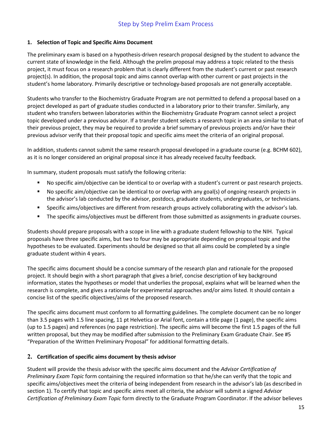### **1. Selection of Topic and Specific Aims Document**

The preliminary exam is based on a hypothesis-driven research proposal designed by the student to advance the current state of knowledge in the field. Although the prelim proposal may address a topic related to the thesis project, it must focus on a research problem that is clearly different from the student's current or past research project(s). In addition, the proposal topic and aims cannot overlap with other current or past projects in the student's home laboratory. Primarily descriptive or technology-based proposals are not generally acceptable.

Students who transfer to the Biochemistry Graduate Program are not permitted to defend a proposal based on a project developed as part of graduate studies conducted in a laboratory prior to their transfer. Similarly, any student who transfers between laboratories within the Biochemistry Graduate Program cannot select a project topic developed under a previous advisor. If a transfer student selects a research topic in an area similar to that of their previous project, they may be required to provide a brief summary of previous projects and/or have their previous advisor verify that their proposal topic and specific aims meet the criteria of an original proposal.

In addition, students cannot submit the same research proposal developed in a graduate course (e.g. BCHM 602), as it is no longer considered an original proposal since it has already received faculty feedback.

In summary, student proposals must satisfy the following criteria:

- No specific aim/objective can be identical to or overlap with a student's current or past research projects.
- No specific aim/objective can be identical to or overlap with any goal(s) of ongoing research projects in the advisor's lab conducted by the advisor, postdocs, graduate students, undergraduates, or technicians.
- Specific aims/objectives are different from research groups actively collaborating with the advisor's lab.
- **The specific aims/objectives must be different from those submitted as assignments in graduate courses.**

Students should prepare proposals with a scope in line with a graduate student fellowship to the NIH. Typical proposals have three specific aims, but two to four may be appropriate depending on proposal topic and the hypotheses to be evaluated. Experiments should be designed so that all aims could be completed by a single graduate student within 4 years.

The specific aims document should be a concise summary of the research plan and rationale for the proposed project. It should begin with a short paragraph that gives a brief, concise description of key background information, states the hypotheses or model that underlies the proposal, explains what will be learned when the research is complete, and gives a rationale for experimental approaches and/or aims listed. It should contain a concise list of the specific objectives/aims of the proposed research.

The specific aims document must conform to all formatting guidelines. The complete document can be no longer than 3.5 pages with 1.5 line spacing, 11 pt Helvetica or Arial font, contain a title page (1 page), the specific aims (up to 1.5 pages) and references (no page restriction). The specific aims will become the first 1.5 pages of the full written proposal, but they may be modified after submission to the Preliminary Exam Graduate Chair. See #5 "Preparation of the Written Preliminary Proposal" for additional formatting details.

#### **2. Certification of specific aims document by thesis advisor**

Student will provide the thesis advisor with the specific aims document and the *Advisor Certification of Preliminary Exam Topic* form containing the required information so that he/she can verify that the topic and specific aims/objectives meet the criteria of being independent from research in the advisor's lab (as described in section 1). To certify that topic and specific aims meet all criteria, the advisor will submit a signed *Advisor Certification of Preliminary Exam Topic* form directly to the Graduate Program Coordinator. If the advisor believes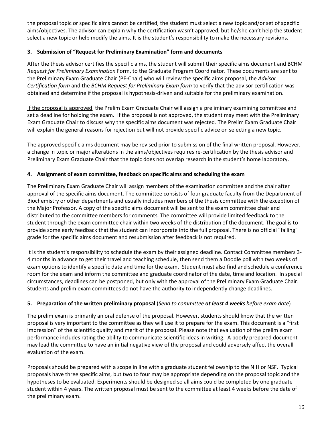the proposal topic or specific aims cannot be certified, the student must select a new topic and/or set of specific aims/objectives. The advisor can explain why the certification wasn't approved, but he/she can't help the student select a new topic or help modify the aims. It is the student's responsibility to make the necessary revisions.

## **3. Submission of "Request for Preliminary Examination" form and documents**

After the thesis advisor certifies the specific aims, the student will submit their specific aims document and BCHM *Request for Preliminary Examination* Form, to the Graduate Program Coordinator. These documents are sent to the Preliminary Exam Graduate Chair (PE-Chair) who will review the specific aims proposal, the *Advisor Certification form* and the *BCHM Request for Preliminary Exam form* to verify that the advisor certification was obtained and determine if the proposal is hypothesis-driven and suitable for the preliminary examination.

If the proposal is approved, the Prelim Exam Graduate Chair will assign a preliminary examining committee and set a deadline for holding the exam. If the proposal is not approved, the student may meet with the Preliminary Exam Graduate Chair to discuss why the specific aims document was rejected. The Prelim Exam Graduate Chair will explain the general reasons for rejection but will not provide specific advice on selecting a new topic.

The approved specific aims document may be revised prior to submission of the final written proposal. However, a change in topic or major alterations in the aims/objectives requires re-certification by the thesis advisor and Preliminary Exam Graduate Chair that the topic does not overlap research in the student's home laboratory.

#### **4. Assignment of exam committee, feedback on specific aims and scheduling the exam**

The Preliminary Exam Graduate Chair will assign members of the examination committee and the chair after approval of the specific aims document. The committee consists of four graduate faculty from the Department of Biochemistry or other departments and usually includes members of the thesis committee with the exception of the Major Professor. A copy of the specific aims document will be sent to the exam committee chair and distributed to the committee members for comments. The committee will provide limited feedback to the student through the exam committee chair within two weeks of the distribution of the document. The goal is to provide some early feedback that the student can incorporate into the full proposal. There is no official "failing" grade for the specific aims document and resubmission after feedback is not required.

It is the student's responsibility to schedule the exam by their assigned deadline. Contact Committee members 3- 4 months in advance to get their travel and teaching schedule, then send them a Doodle poll with two weeks of exam options to identify a specific date and time for the exam. Student must also find and schedule a conference room for the exam and inform the committee and graduate coordinator of the date, time and location. In special circumstances, deadlines can be postponed, but only with the approval of the Preliminary Exam Graduate Chair. Students and prelim exam committees do not have the authority to independently change deadlines.

#### **5. Preparation of the written preliminary proposal** (*Send to committee at least 4 weeks before exam date*)

The prelim exam is primarily an oral defense of the proposal. However, students should know that the written proposal is very important to the committee as they will use it to prepare for the exam. This document is a "first impression" of the scientific quality and merit of the proposal. Please note that evaluation of the prelim exam performance includes rating the ability to communicate scientific ideas in writing. A poorly prepared document may lead the committee to have an initial negative view of the proposal and could adversely affect the overall evaluation of the exam.

Proposals should be prepared with a scope in line with a graduate student fellowship to the NIH or NSF. Typical proposals have three specific aims, but two to four may be appropriate depending on the proposal topic and the hypotheses to be evaluated. Experiments should be designed so all aims could be completed by one graduate student within 4 years. The written proposal must be sent to the committee at least 4 weeks before the date of the preliminary exam.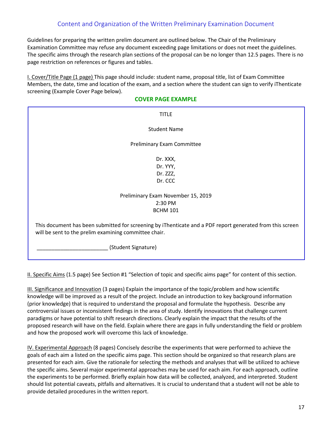## Content and Organization of the Written Preliminary Examination Document

Guidelines for preparing the written prelim document are outlined below. The Chair of the Preliminary Examination Committee may refuse any document exceeding page limitations or does not meet the guidelines. The specific aims through the research plan sections of the proposal can be no longer than 12.5 pages. There is no page restriction on references or figures and tables.

I. Cover/Title Page (1 page) This page should include: student name, proposal title, list of Exam Committee Members, the date, time and location of the exam, and a section where the student can sign to verify iThenticate screening (Example Cover Page below).

#### **COVER PAGE EXAMPLE**

| <b>TITLE</b>                                                                                                                                                       |  |
|--------------------------------------------------------------------------------------------------------------------------------------------------------------------|--|
| <b>Student Name</b>                                                                                                                                                |  |
| Preliminary Exam Committee                                                                                                                                         |  |
| Dr. XXX,                                                                                                                                                           |  |
| Dr. YYY,                                                                                                                                                           |  |
| Dr. ZZZ,                                                                                                                                                           |  |
| Dr. CCC                                                                                                                                                            |  |
| Preliminary Exam November 15, 2019                                                                                                                                 |  |
| 2:30 PM                                                                                                                                                            |  |
| <b>BCHM 101</b>                                                                                                                                                    |  |
| This document has been submitted for screening by iThenticate and a PDF report generated from this screen<br>will be sent to the prelim examining committee chair. |  |
| (Student Signature)                                                                                                                                                |  |

II. Specific Aims (1.5 page) See Section #1 "Selection of topic and specific aims page" for content of this section.

III. Significance and Innovation (3 pages) Explain the importance of the topic/problem and how scientific knowledge will be improved as a result of the project. Include an introduction to key background information (prior knowledge) that is required to understand the proposal and formulate the hypothesis. Describe any controversial issues or inconsistent findings in the area of study. Identify innovations that challenge current paradigms or have potential to shift research directions. Clearly explain the impact that the results of the proposed research will have on the field. Explain where there are gaps in fully understanding the field or problem and how the proposed work will overcome this lack of knowledge.

IV. Experimental Approach (8 pages) Concisely describe the experiments that were performed to achieve the goals of each aim a listed on the specific aims page. This section should be organized so that research plans are presented for each aim. Give the rationale for selecting the methods and analyses that will be utilized to achieve the specific aims. Several major experimental approaches may be used for each aim. For each approach, outline the experiments to be performed. Briefly explain how data will be collected, analyzed, and interpreted. Student should list potential caveats, pitfalls and alternatives. It is crucial to understand that a student will not be able to provide detailed procedures in the written report.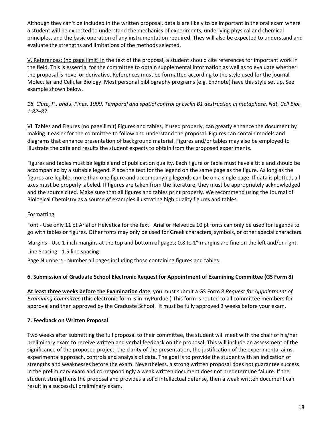Although they can't be included in the written proposal, details are likely to be important in the oral exam where a student will be expected to understand the mechanics of experiments, underlying physical and chemical principles, and the basic operation of any instrumentation required. They will also be expected to understand and evaluate the strengths and limitations of the methods selected.

V. References: (no page limit) In the text of the proposal, a student should cite references for important work in the field. This is essential for the committee to obtain supplemental information as well as to evaluate whether the proposal is novel or derivative. References must be formatted according to the style used for the journal Molecular and Cellular Biology. Most personal bibliography programs (e.g. Endnote) have this style set up. See example shown below.

## *18. Clute, P., and J. Pines. 1999. Temporal and spatial control of cyclin B1 destruction in metaphase. Nat. Cell Biol. 1:82–87.*

VI. Tables and Figures (no page limit) Figures and tables, if used properly, can greatly enhance the document by making it easier for the committee to follow and understand the proposal. Figures can contain models and diagrams that enhance presentation of background material. Figures and/or tables may also be employed to illustrate the data and results the student expects to obtain from the proposed experiments.

Figures and tables must be legible and of publication quality. Each figure or table must have a title and should be accompanied by a suitable legend. Place the text for the legend on the same page as the figure. As long as the figures are legible, more than one figure and accompanying legends can be on a single page. If data is plotted, all axes must be properly labeled. If figures are taken from the literature, they must be appropriately acknowledged and the source cited. Make sure that all figures and tables print properly. We recommend using the Journal of Biological Chemistry as a source of examples illustrating high quality figures and tables.

### Formatting

Font - Use only 11 pt Arial or Helvetica for the text. Arial or Helvetica 10 pt fonts can only be used for legends to go with tables or figures. Other fonts may only be used for Greek characters, symbols, or other special characters.

Margins - Use 1-inch margins at the top and bottom of pages; 0.8 to 1" margins are fine on the left and/or right.

Line Spacing - 1.5 line spacing

Page Numbers - Number all pages including those containing figures and tables.

#### **6. Submission of Graduate School Electronic Request for Appointment of Examining Committee (GS Form 8)**

**At least three weeks before the Examination date**, you must submit a GS Form 8 *Request for Appointment of Examining Committee* (this electronic form is in myPurdue.) This form is routed to all committee members for approval and then approved by the Graduate School. It must be fully approved 2 weeks before your exam.

#### **7. Feedback on Written Proposal**

Two weeks after submitting the full proposal to their committee, the student will meet with the chair of his/her preliminary exam to receive written and verbal feedback on the proposal. This will include an assessment of the significance of the proposed project, the clarity of the presentation, the justification of the experimental aims, experimental approach, controls and analysis of data. The goal is to provide the student with an indication of strengths and weaknesses before the exam. Nevertheless, a strong written proposal does not guarantee success in the preliminary exam and correspondingly a weak written document does not predetermine failure. If the student strengthens the proposal and provides a solid intellectual defense, then a weak written document can result in a successful preliminary exam.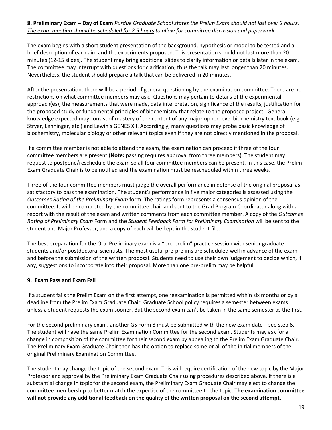#### **8. Preliminary Exam – Day of Exam** *Purdue Graduate School states the Prelim Exam should not last over 2 hours. The exam meeting should be scheduled for 2.5 hours to allow for committee discussion and paperwork.*

The exam begins with a short student presentation of the background, hypothesis or model to be tested and a brief description of each aim and the experiments proposed. This presentation should not last more than 20 minutes (12-15 slides). The student may bring additional slides to clarify information or details later in the exam. The committee may interrupt with questions for clarification, thus the talk may last longer than 20 minutes. Nevertheless, the student should prepare a talk that can be delivered in 20 minutes.

After the presentation, there will be a period of general questioning by the examination committee. There are no restrictions on what committee members may ask. Questions may pertain to details of the experimental approach(es), the measurements that were made, data interpretation, significance of the results, justification for the proposed study or fundamental principles of biochemistry that relate to the proposed project. General knowledge expected may consist of mastery of the content of any major upper-level biochemistry text book (e.g. Stryer, Lehninger, etc.) and Lewin's GENES XII. Accordingly, many questions may probe basic knowledge of biochemistry, molecular biology or other relevant topics even if they are not directly mentioned in the proposal.

If a committee member is not able to attend the exam, the examination can proceed if three of the four committee members are present (**Note:** passing requires approval from three members). The student may request to postpone/reschedule the exam so all four committee members can be present. In this case, the Prelim Exam Graduate Chair is to be notified and the examination must be rescheduled within three weeks.

Three of the four committee members must judge the overall performance in defense of the original proposal as satisfactory to pass the examination. The student's performance in five major categories is assessed using the *Outcomes Rating of the Preliminary Exam* form. The ratings form represents a consensus opinion of the committee. It will be completed by the committee chair and sent to the Grad Program Coordinator along with a report with the result of the exam and written comments from each committee member. A copy of the *Outcomes Rating of Preliminary Exam* Form and the *Student Feedback Form for Preliminary Examination* will be sent to the student and Major Professor, and a copy of each will be kept in the student file.

The best preparation for the Oral Preliminary exam is a "pre-prelim" practice session with senior graduate students and/or postdoctoral scientists. The most useful pre-prelims are scheduled well in advance of the exam and before the submission of the written proposal. Students need to use their own judgement to decide which, if any, suggestions to incorporate into their proposal. More than one pre-prelim may be helpful.

#### **9. Exam Pass and Exam Fail**

If a student fails the Prelim Exam on the first attempt, one reexamination is permitted within six months or by a deadline from the Prelim Exam Graduate Chair. Graduate School policy requires a semester between exams unless a student requests the exam sooner. But the second exam can't be taken in the same semester as the first.

For the second preliminary exam, another GS Form 8 must be submitted with the new exam date – see step 6. The student will have the same Prelim Examination Committee for the second exam. Students may ask for a change in composition of the committee for their second exam by appealing to the Prelim Exam Graduate Chair. The Preliminary Exam Graduate Chair then has the option to replace some or all of the initial members of the original Preliminary Examination Committee.

The student may change the topic of the second exam. This will require certification of the new topic by the Major Professor and approval by the Preliminary Exam Graduate Chair using procedures described above. If there is a substantial change in topic for the second exam, the Preliminary Exam Graduate Chair may elect to change the committee membership to better match the expertise of the committee to the topic. **The examination committee will not provide any additional feedback on the quality of the written proposal on the second attempt.**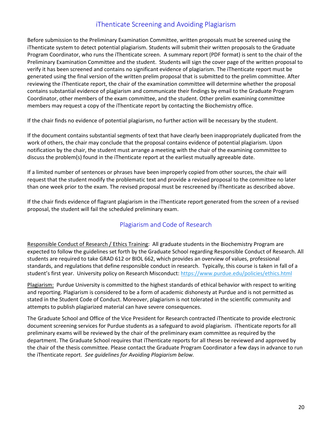# iThenticate Screening and Avoiding Plagiarism

Before submission to the Preliminary Examination Committee, written proposals must be screened using the iThenticate system to detect potential plagiarism. Students will submit their written proposals to the Graduate Program Coordinator, who runs the iThenticate screen. A summary report (PDF format) is sent to the chair of the Preliminary Examination Committee and the student. Students will sign the cover page of the written proposal to verify it has been screened and contains no significant evidence of plagiarism. The iThenticate report must be generated using the final version of the written prelim proposal that is submitted to the prelim committee. After reviewing the iThenticate report, the chair of the examination committee will determine whether the proposal contains substantial evidence of plagiarism and communicate their findings by email to the Graduate Program Coordinator, other members of the exam committee, and the student. Other prelim examining committee members may request a copy of the iThenticate report by contacting the Biochemistry office.

If the chair finds no evidence of potential plagiarism, no further action will be necessary by the student.

If the document contains substantial segments of text that have clearly been inappropriately duplicated from the work of others, the chair may conclude that the proposal contains evidence of potential plagiarism. Upon notification by the chair, the student must arrange a meeting with the chair of the examining committee to discuss the problem(s) found in the iThenticate report at the earliest mutually agreeable date.

If a limited number of sentences or phrases have been improperly copied from other sources, the chair will request that the student modify the problematic text and provide a revised proposal to the committee no later than one week prior to the exam. The revised proposal must be rescreened by iThenticate as described above.

If the chair finds evidence of flagrant plagiarism in the iThenticate report generated from the screen of a revised proposal, the student will fail the scheduled preliminary exam.

## Plagiarism and Code of Research

Responsible Conduct of Research / Ethics Training: All graduate students in the Biochemistry Program are expected to follow the guidelines set forth by the Graduate School regarding Responsible Conduct of Research. All students are required to take GRAD 612 or BIOL 662, which provides an overview of values, professional standards, and regulations that define responsible conduct in research. Typically, this course is taken in fall of a student's first year. University policy on Research Misconduct[: https://www.purdue.edu/policies/ethics.html](https://www.purdue.edu/policies/ethics.html)

Plagiarism: Purdue University is committed to the highest standards of ethical behavior with respect to writing and reporting. Plagiarism is considered to be a form of academic dishonesty at Purdue and is not permitted as stated in the Student Code of Conduct. Moreover, plagiarism is not tolerated in the scientific community and attempts to publish plagiarized material can have severe consequences.

The Graduate School and Office of the Vice President for Research contracted iThenticate to provide electronic document screening services for Purdue students as a safeguard to avoid plagiarism. iThenticate reports for all preliminary exams will be reviewed by the chair of the preliminary exam committee as required by the department. The Graduate School requires that iThenticate reports for all theses be reviewed and approved by the chair of the thesis committee. Please contact the Graduate Program Coordinator a few days in advance to run the iThenticate report. *See guidelines for Avoiding Plagiarism below.*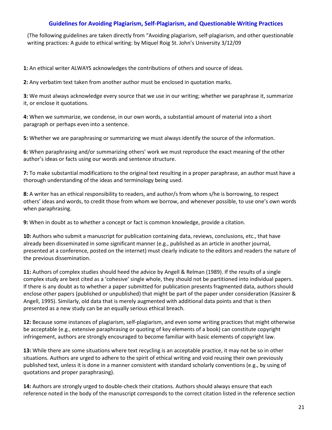#### **Guidelines for Avoiding Plagiarism, Self-Plagiarism, and Questionable Writing Practices**

(The following guidelines are taken directly from "Avoiding plagiarism, self-plagiarism, and other questionable writing practices: A guide to ethical writing: by Miquel Roig St. John's University 3/12/09

**1:** An ethical writer ALWAYS acknowledges the contributions of others and source of ideas.

**2:** Any verbatim text taken from another author must be enclosed in quotation marks.

**3:** We must always acknowledge every source that we use in our writing; whether we paraphrase it, summarize it, or enclose it quotations.

**4:** When we summarize, we condense, in our own words, a substantial amount of material into a short paragraph or perhaps even into a sentence.

**5:** Whether we are paraphrasing or summarizing we must always identify the source of the information.

**6:** When paraphrasing and/or summarizing others' work we must reproduce the exact meaning of the other author's ideas or facts using our words and sentence structure.

**7:** To make substantial modifications to the original text resulting in a proper paraphrase, an author must have a thorough understanding of the ideas and terminology being used.

**8:** A writer has an ethical responsibility to readers, and author/s from whom s/he is borrowing, to respect others' ideas and words, to credit those from whom we borrow, and whenever possible, to use one's own words when paraphrasing.

**9:** When in doubt as to whether a concept or fact is common knowledge, provide a citation.

**10:** Authors who submit a manuscript for publication containing data, reviews, conclusions, etc., that have already been disseminated in some significant manner (e.g., published as an article in another journal, presented at a conference, posted on the internet) must clearly indicate to the editors and readers the nature of the previous dissemination.

**11:** Authors of complex studies should heed the advice by Angell & Relman (1989). If the results of a single complex study are best cited as a 'cohesive' single whole, they should not be partitioned into individual papers. If there is any doubt as to whether a paper submitted for publication presents fragmented data, authors should enclose other papers (published or unpublished) that might be part of the paper under consideration (Kassirer & Angell, 1995). Similarly, old data that is merely augmented with additional data points and that is then presented as a new study can be an equally serious ethical breach.

**12:** Because some instances of plagiarism, self-plagiarism, and even some writing practices that might otherwise be acceptable (e.g., extensive paraphrasing or quoting of key elements of a book) can constitute copyright infringement, authors are strongly encouraged to become familiar with basic elements of copyright law.

**13:** While there are some situations where text recycling is an acceptable practice, it may not be so in other situations. Authors are urged to adhere to the spirit of ethical writing and void reusing their own previously published text, unless it is done in a manner consistent with standard scholarly conventions (e.g., by using of quotations and proper paraphrasing).

**14:** Authors are strongly urged to double-check their citations. Authors should always ensure that each reference noted in the body of the manuscript corresponds to the correct citation listed in the reference section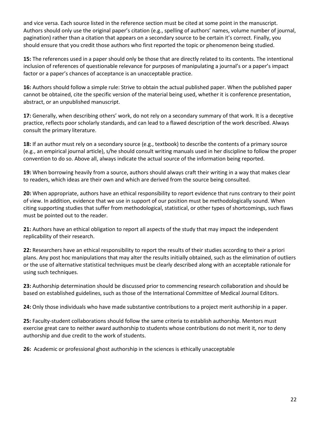and vice versa. Each source listed in the reference section must be cited at some point in the manuscript. Authors should only use the original paper's citation (e.g., spelling of authors' names, volume number of journal, pagination) rather than a citation that appears on a secondary source to be certain it's correct. Finally, you should ensure that you credit those authors who first reported the topic or phenomenon being studied.

**15:** The references used in a paper should only be those that are directly related to its contents. The intentional inclusion of references of questionable relevance for purposes of manipulating a journal's or a paper's impact factor or a paper's chances of acceptance is an unacceptable practice.

**16:** Authors should follow a simple rule: Strive to obtain the actual published paper. When the published paper cannot be obtained, cite the specific version of the material being used, whether it is conference presentation, abstract, or an unpublished manuscript.

**17:** Generally, when describing others' work, do not rely on a secondary summary of that work. It is a deceptive practice, reflects poor scholarly standards, and can lead to a flawed description of the work described. Always consult the primary literature.

**18:** If an author must rely on a secondary source (e.g., textbook) to describe the contents of a primary source (e.g., an empirical journal article), s/he should consult writing manuals used in her discipline to follow the proper convention to do so. Above all, always indicate the actual source of the information being reported.

**19:** When borrowing heavily from a source, authors should always craft their writing in a way that makes clear to readers, which ideas are their own and which are derived from the source being consulted.

**20:** When appropriate, authors have an ethical responsibility to report evidence that runs contrary to their point of view. In addition, evidence that we use in support of our position must be methodologically sound. When citing supporting studies that suffer from methodological, statistical, or other types of shortcomings, such flaws must be pointed out to the reader.

**21:** Authors have an ethical obligation to report all aspects of the study that may impact the independent replicability of their research.

**22:** Researchers have an ethical responsibility to report the results of their studies according to their a priori plans. Any post hoc manipulations that may alter the results initially obtained, such as the elimination of outliers or the use of alternative statistical techniques must be clearly described along with an acceptable rationale for using such techniques.

**23:** Authorship determination should be discussed prior to commencing research collaboration and should be based on established guidelines, such as those of the International Committee of Medical Journal Editors.

**24:** Only those individuals who have made substantive contributions to a project merit authorship in a paper.

**25:** Faculty-student collaborations should follow the same criteria to establish authorship. Mentors must exercise great care to neither award authorship to students whose contributions do not merit it, nor to deny authorship and due credit to the work of students.

**26:** Academic or professional ghost authorship in the sciences is ethically unacceptable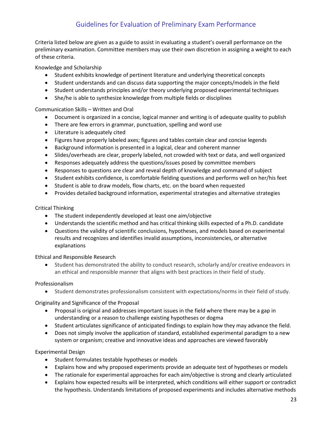# Guidelines for Evaluation of Preliminary Exam Performance

Criteria listed below are given as a guide to assist in evaluating a student's overall performance on the preliminary examination. Committee members may use their own discretion in assigning a weight to each of these criteria.

Knowledge and Scholarship

- Student exhibits knowledge of pertinent literature and underlying theoretical concepts
- Student understands and can discuss data supporting the major concepts/models in the field
- Student understands principles and/or theory underlying proposed experimental techniques
- She/he is able to synthesize knowledge from multiple fields or disciplines

#### Communication Skills – Written and Oral

- Document is organized in a concise, logical manner and writing is of adequate quality to publish
- There are few errors in grammar, punctuation, spelling and word use
- Literature is adequately cited
- Figures have properly labeled axes; figures and tables contain clear and concise legends
- Background information is presented in a logical, clear and coherent manner
- Slides/overheads are clear, properly labeled, not crowded with text or data, and well organized
- Responses adequately address the questions/issues posed by committee members
- Responses to questions are clear and reveal depth of knowledge and command of subject
- Student exhibits confidence, is comfortable fielding questions and performs well on her/his feet
- Student is able to draw models, flow charts, etc. on the board when requested
- Provides detailed background information, experimental strategies and alternative strategies

#### Critical Thinking

- The student independently developed at least one aim/objective
- Understands the scientific method and has critical thinking skills expected of a Ph.D. candidate
- Questions the validity of scientific conclusions, hypotheses, and models based on experimental results and recognizes and identifies invalid assumptions, inconsistencies, or alternative explanations

#### Ethical and Responsible Research

• Student has demonstrated the ability to conduct research, scholarly and/or creative endeavors in an ethical and responsible manner that aligns with best practices in their field of study.

#### Professionalism

• Student demonstrates professionalism consistent with expectations/norms in their field of study.

Originality and Significance of the Proposal

- Proposal is original and addresses important issues in the field where there may be a gap in understanding or a reason to challenge existing hypotheses or dogma
- Student articulates significance of anticipated findings to explain how they may advance the field.
- Does not simply involve the application of standard, established experimental paradigm to a new system or organism; creative and innovative ideas and approaches are viewed favorably

#### Experimental Design

- Student formulates testable hypotheses or models
- Explains how and why proposed experiments provide an adequate test of hypotheses or models
- The rationale for experimental approaches for each aim/objective is strong and clearly articulated
- Explains how expected results will be interpreted, which conditions will either support or contradict the hypothesis. Understands limitations of proposed experiments and includes alternative methods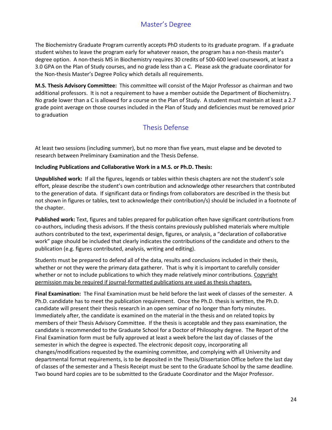# Master's Degree

The Biochemistry Graduate Program currently accepts PhD students to its graduate program. If a graduate student wishes to leave the program early for whatever reason, the program has a non-thesis master's degree option. A non-thesis MS in Biochemistry requires 30 credits of 500-600 level coursework, at least a 3.0 GPA on the Plan of Study courses, and no grade less than a C. Please ask the graduate coordinator for the Non-thesis Master's Degree Policy which details all requirements.

**M.S. Thesis Advisory Committee:** This committee will consist of the Major Professor as chairman and two additional professors. It is not a requirement to have a member outside the Department of Biochemistry. No grade lower than a C is allowed for a course on the Plan of Study. A student must maintain at least a 2.7 grade point average on those courses included in the Plan of Study and deficiencies must be removed prior to graduation

# Thesis Defense

At least two sessions (including summer), but no more than five years, must elapse and be devoted to research between Preliminary Examination and the Thesis Defense.

#### **Including Publications and Collaborative Work in a M.S. or Ph.D. Thesis:**

**Unpublished work:** If all the figures, legends or tables within thesis chapters are not the student's sole effort, please describe the student's own contribution and acknowledge other researchers that contributed to the generation of data. If significant data or findings from collaborators are described in the thesis but not shown in figures or tables, text to acknowledge their contribution/s) should be included in a footnote of the chapter.

**Published work:** Text, figures and tables prepared for publication often have significant contributions from co-authors, including thesis advisors. If the thesis contains previously published materials where multiple authors contributed to the text, experimental design, figures, or analysis, a "declaration of collaborative work" page should be included that clearly indicates the contributions of the candidate and others to the publication (e.g. figures contributed, analysis, writing and editing).

Students must be prepared to defend all of the data, results and conclusions included in their thesis, whether or not they were the primary data gatherer. That is why it is important to carefully consider whether or not to include publications to which they made relatively minor contributions. Copyright permission may be required if journal-formatted publications are used as thesis chapters.

**Final Examination:** The Final Examination must be held before the last week of classes of the semester. A Ph.D. candidate has to meet the publication requirement. Once the Ph.D. thesis is written, the Ph.D. candidate will present their thesis research in an open seminar of no longer than forty minutes. Immediately after, the candidate is examined on the material in the thesis and on related topics by members of their Thesis Advisory Committee. If the thesis is acceptable and they pass examination, the candidate is recommended to the Graduate School for a Doctor of Philosophy degree. The Report of the Final Examination form must be fully approved at least a week before the last day of classes of the semester in which the degree is expected. The electronic deposit copy, incorporating all changes/modifications requested by the examining committee, and complying with all University and departmental format requirements, is to be deposited in the Thesis/Dissertation Office before the last day of classes of the semester and a Thesis Receipt must be sent to the Graduate School by the same deadline. Two bound hard copies are to be submitted to the Graduate Coordinator and the Major Professor.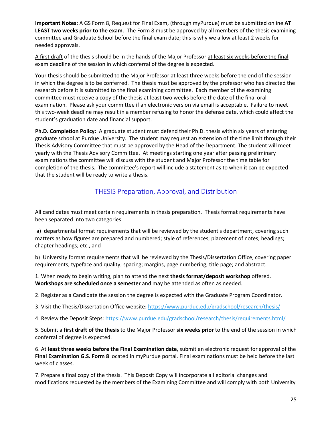**Important Notes:** A GS Form 8, Request for Final Exam, (through myPurdue) must be submitted online **AT LEAST two weeks prior to the exam**. The Form 8 must be approved by all members of the thesis examining committee and Graduate School before the final exam date; this is why we allow at least 2 weeks for needed approvals.

A first draft of the thesis should be in the hands of the Major Professor at least six weeks before the final exam deadline of the session in which conferral of the degree is expected.

Your thesis should be submitted to the Major Professor at least three weeks before the end of the session in which the degree is to be conferred. The thesis must be approved by the professor who has directed the research before it is submitted to the final examining committee. Each member of the examining committee must receive a copy of the thesis at least two weeks before the date of the final oral examination. Please ask your committee if an electronic version via email is acceptable. Failure to meet this two-week deadline may result in a member refusing to honor the defense date, which could affect the student's graduation date and financial support.

**Ph.D. Completion Policy:** A graduate student must defend their Ph.D. thesis within six years of entering graduate school at Purdue University. The student may request an extension of the time limit through their Thesis Advisory Committee that must be approved by the Head of the Department. The student will meet yearly with the Thesis Advisory Committee. At meetings starting one year after passing preliminary examinations the committee will discuss with the student and Major Professor the time table for completion of the thesis. The committee's report will include a statement as to when it can be expected that the student will be ready to write a thesis.

# THESIS Preparation, Approval, and Distribution

All candidates must meet certain requirements in thesis preparation. Thesis format requirements have been separated into two categories:

a) departmental format requirements that will be reviewed by the student's department, covering such matters as how figures are prepared and numbered; style of references; placement of notes; headings; chapter headings; etc., and

b) University format requirements that will be reviewed by the Thesis/Dissertation Office, covering paper requirements; typeface and quality; spacing; margins, page numbering; title page; and abstract.

1. When ready to begin writing, plan to attend the next **thesis format/deposit workshop** offered. **Workshops are scheduled once a semester** and may be attended as often as needed.

2. Register as a Candidate the session the degree is expected with the Graduate Program Coordinator.

3. Visit the Thesis/Dissertation Office website:<https://www.purdue.edu/gradschool/research/thesis/>

4. Review the Deposit Steps: [https://www.purdue.edu/gradschool/research/thesis/requirements.html/](https://www.purdue.edu/gradschool/research/thesis/requirements.html)

5. Submit a **first draft of the thesis** to the Major Professor **six weeks prior** to the end of the session in which conferral of degree is expected.

6. At **least three weeks before the Final Examination date**, submit an electronic request for approval of the **Final Examination G.S. Form 8** located in myPurdue portal. Final examinations must be held before the last week of classes.

7. Prepare a final copy of the thesis. This Deposit Copy will incorporate all editorial changes and modifications requested by the members of the Examining Committee and will comply with both University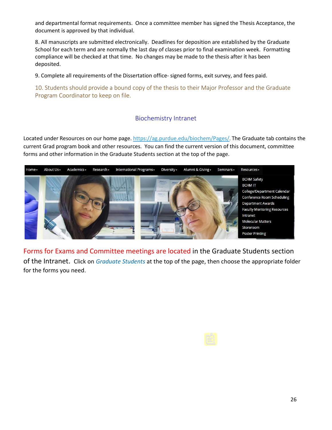and departmental format requirements. Once a committee member has signed the Thesis Acceptance, the document is approved by that individual.

8. All manuscripts are submitted electronically. Deadlines for deposition are established by the Graduate School for each term and are normally the last day of classes prior to final examination week. Formatting compliance will be checked at that time. No changes may be made to the thesis after it has been deposited.

9. Complete all requirements of the Dissertation office- signed forms, exit survey, and fees paid.

10. Students should provide a bound copy of the thesis to their Major Professor and the Graduate Program Coordinator to keep on file.

## Biochemistry Intranet

Located under Resources on our home page[. https://ag.purdue.edu/biochem/Pages/.](https://ag.purdue.edu/biochem/Pages/) The Graduate tab contains the current Grad program book and other resources. You can find the current version of this document, committee forms and other information in the Graduate Students section at the top of the page.



Forms for Exams and Committee meetings are located in the Graduate Students section of the Intranet. Click on *Graduate Students* at the top of the page, then choose the appropriate folder for the forms you need.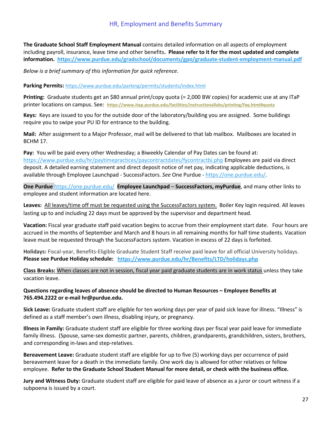## HR, Employment and Benefits Summary

**The Graduate School Staff Employment Manual** contains detailed information on all aspects of employment including payroll, insurance, leave time and other benefits**. Please refer to it for the most updated and complete information.<https://www.purdue.edu/gradschool/documents/gpo/graduate-student-employment-manual.pdf>**

*Below is a brief summary of this information for quick reference.* 

**Parking Permits:** <https://www.purdue.edu/parking/permits/students/index.html>

**Printing:** Graduate students get an \$80 annual print/copy quota (= 2,000 BW copies) for academic use at any ITaP printer locations on campus. See: **<https://www.itap.purdue.edu/facilities/instructionallabs/printing/faq.html#quota>**

**Keys:** Keys are issued to you for the outside door of the laboratory/building you are assigned. Some buildings require you to swipe your PU ID for entrance to the building.

**Mail:** After assignment to a Major Professor, mail will be delivered to that lab mailbox. Mailboxes are located in BCHM 17.

**Pay:** You will be paid every other Wednesday; a Biweekly Calendar of Pay Dates can be found at: <https://www.purdue.edu/hr/paytimepractices/paycontractdates/fycontractbi.php> Employees are paid via direct deposit. A detailed earning statement and direct deposit notice of net pay, indicating applicable deductions, is available through Employee Launchpad - SuccessFactors. *See* One Purdue - [https://one.purdue.edu/.](https://one.purdue.edu/)

**One Purdue** <https://one.purdue.edu/> **Employee Launchpad** – **SuccessFactors, myPurdue**, and many other links to employee and student information are located here.

**Leaves:** All leaves/time off must be requested using the SuccessFactors system. Boiler Key login required. All leaves lasting up to and including 22 days must be approved by the supervisor and department head.

**Vacation:** Fiscal year graduate staff paid vacation begins to accrue from their employment start date. Four hours are accrued in the months of September and March and 8 hours in all remaining months for half time students. Vacation leave must be requested through the SuccessFactors system. Vacation in excess of 22 days is forfeited.

**Holidays:** Fiscal-year, Benefits-Eligible Graduate Student Staff receive paid leave for all official University holidays. **Please see Purdue Holiday schedule: <https://www.purdue.edu/hr/Benefits/LTD/holidays.php>**

**Class Breaks:** When classes are not in session, fiscal year paid graduate students are in work status unless they take vacation leave.

#### **Questions regarding leaves of absence should be directed to Human Resources – Employee Benefits at 765.494.2222 or e-mail hr@purdue.edu.**

**Sick Leave:** Graduate student staff are eligible for ten working days per year of paid sick leave for illness. "Illness" is defined as a staff member's own illness, disabling injury, or pregnancy.

**Illness in Family:** Graduate student staff are eligible for three working days per fiscal year paid leave for immediate family illness. (Spouse, same-sex domestic partner, parents, children, grandparents, grandchildren, sisters, brothers, and corresponding in-laws and step-relatives.

**Bereavement Leave:** Graduate student staff are eligible for up to five (5) working days per occurrence of paid bereavement leave for a death in the immediate family. One work day is allowed for other relatives or fellow employee. **Refer to the Graduate School Student Manual for more detail, or check with the business office.** 

**Jury and Witness Duty:** Graduate student staff are eligible for paid leave of absence as a juror or court witness if a subpoena is issued by a court.